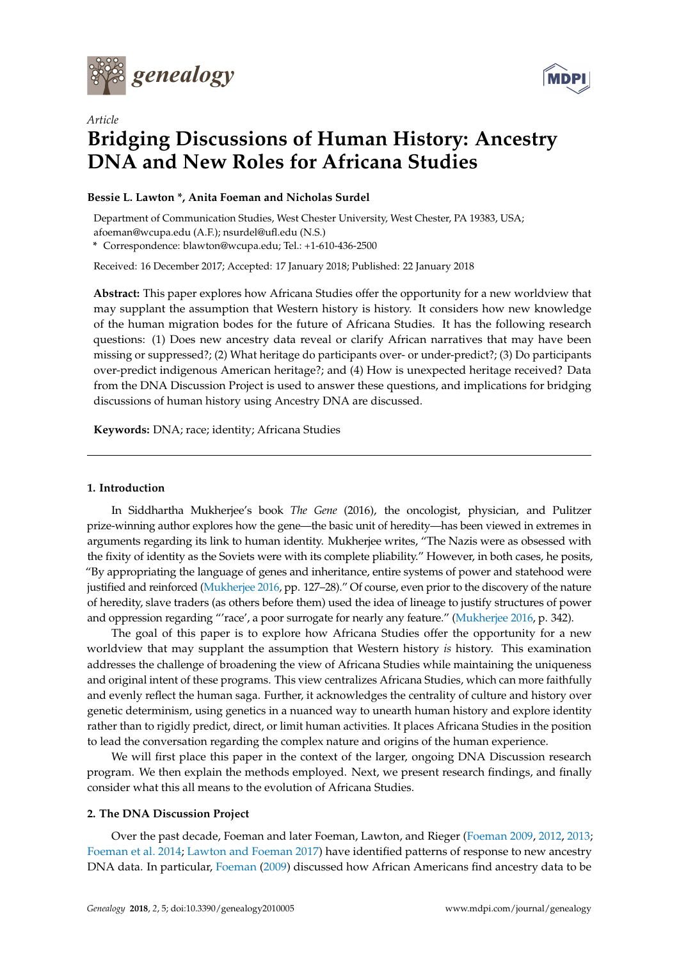

*Article*



# **Bridging Discussions of Human History: Ancestry DNA and New Roles for Africana Studies**

# **Bessie L. Lawton \*, Anita Foeman and Nicholas Surdel**

Department of Communication Studies, West Chester University, West Chester, PA 19383, USA; afoeman@wcupa.edu (A.F.); nsurdel@ufl.edu (N.S.)

**\*** Correspondence: blawton@wcupa.edu; Tel.: +1-610-436-2500

Received: 16 December 2017; Accepted: 17 January 2018; Published: 22 January 2018

**Abstract:** This paper explores how Africana Studies offer the opportunity for a new worldview that may supplant the assumption that Western history is history. It considers how new knowledge of the human migration bodes for the future of Africana Studies. It has the following research questions: (1) Does new ancestry data reveal or clarify African narratives that may have been missing or suppressed?; (2) What heritage do participants over- or under-predict?; (3) Do participants over-predict indigenous American heritage?; and (4) How is unexpected heritage received? Data from the DNA Discussion Project is used to answer these questions, and implications for bridging discussions of human history using Ancestry DNA are discussed.

**Keywords:** DNA; race; identity; Africana Studies

# **1. Introduction**

In Siddhartha Mukherjee's book *The Gene* (2016), the oncologist, physician, and Pulitzer prize-winning author explores how the gene—the basic unit of heredity—has been viewed in extremes in arguments regarding its link to human identity. Mukherjee writes, "The Nazis were as obsessed with the fixity of identity as the Soviets were with its complete pliability." However, in both cases, he posits, "By appropriating the language of genes and inheritance, entire systems of power and statehood were justified and reinforced [\(Mukherjee](#page-9-0) [2016,](#page-9-0) pp. 127–28)." Of course, even prior to the discovery of the nature of heredity, slave traders (as others before them) used the idea of lineage to justify structures of power and oppression regarding "'race', a poor surrogate for nearly any feature." [\(Mukherjee](#page-9-0) [2016,](#page-9-0) p. 342).

The goal of this paper is to explore how Africana Studies offer the opportunity for a new worldview that may supplant the assumption that Western history *is* history. This examination addresses the challenge of broadening the view of Africana Studies while maintaining the uniqueness and original intent of these programs. This view centralizes Africana Studies, which can more faithfully and evenly reflect the human saga. Further, it acknowledges the centrality of culture and history over genetic determinism, using genetics in a nuanced way to unearth human history and explore identity rather than to rigidly predict, direct, or limit human activities. It places Africana Studies in the position to lead the conversation regarding the complex nature and origins of the human experience.

We will first place this paper in the context of the larger, ongoing DNA Discussion research program. We then explain the methods employed. Next, we present research findings, and finally consider what this all means to the evolution of Africana Studies.

# **2. The DNA Discussion Project**

Over the past decade, Foeman and later Foeman, Lawton, and Rieger [\(Foeman](#page-8-0) [2009,](#page-8-0) [2012,](#page-8-1) [2013;](#page-8-2) [Foeman et al.](#page-8-3) [2014;](#page-8-3) [Lawton and Foeman](#page-8-4) [2017\)](#page-8-4) have identified patterns of response to new ancestry DNA data. In particular, [Foeman](#page-8-0) [\(2009\)](#page-8-0) discussed how African Americans find ancestry data to be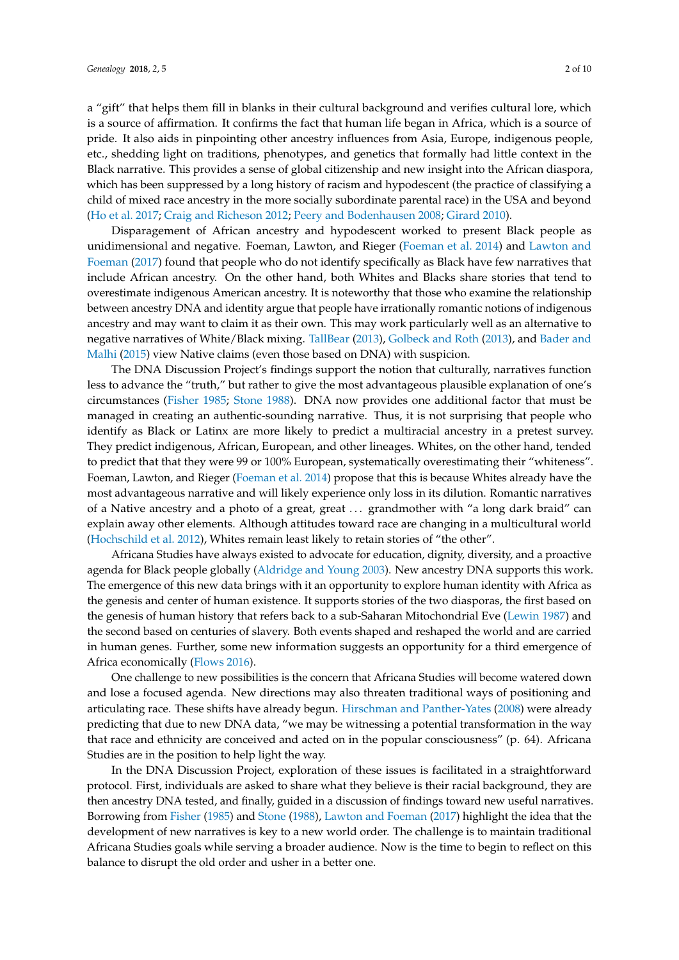a "gift" that helps them fill in blanks in their cultural background and verifies cultural lore, which is a source of affirmation. It confirms the fact that human life began in Africa, which is a source of pride. It also aids in pinpointing other ancestry influences from Asia, Europe, indigenous people, etc., shedding light on traditions, phenotypes, and genetics that formally had little context in the Black narrative. This provides a sense of global citizenship and new insight into the African diaspora, which has been suppressed by a long history of racism and hypodescent (the practice of classifying a child of mixed race ancestry in the more socially subordinate parental race) in the USA and beyond [\(Ho et al.](#page-8-5) [2017;](#page-8-5) [Craig and Richeson](#page-8-6) [2012;](#page-8-6) [Peery and Bodenhausen](#page-9-1) [2008;](#page-9-1) [Girard](#page-8-7) [2010\)](#page-8-7).

Disparagement of African ancestry and hypodescent worked to present Black people as unidimensional and negative. Foeman, Lawton, and Rieger [\(Foeman et al.](#page-8-3) [2014\)](#page-8-3) and [Lawton and](#page-8-4) [Foeman](#page-8-4) [\(2017\)](#page-8-4) found that people who do not identify specifically as Black have few narratives that include African ancestry. On the other hand, both Whites and Blacks share stories that tend to overestimate indigenous American ancestry. It is noteworthy that those who examine the relationship between ancestry DNA and identity argue that people have irrationally romantic notions of indigenous ancestry and may want to claim it as their own. This may work particularly well as an alternative to negative narratives of White/Black mixing. [TallBear](#page-9-2) [\(2013\)](#page-9-2), [Golbeck and Roth](#page-8-8) [\(2013\)](#page-8-8), and [Bader and](#page-8-9) [Malhi](#page-8-9) [\(2015\)](#page-8-9) view Native claims (even those based on DNA) with suspicion.

The DNA Discussion Project's findings support the notion that culturally, narratives function less to advance the "truth," but rather to give the most advantageous plausible explanation of one's circumstances [\(Fisher](#page-8-10) [1985;](#page-8-10) [Stone](#page-9-3) [1988\)](#page-9-3). DNA now provides one additional factor that must be managed in creating an authentic-sounding narrative. Thus, it is not surprising that people who identify as Black or Latinx are more likely to predict a multiracial ancestry in a pretest survey. They predict indigenous, African, European, and other lineages. Whites, on the other hand, tended to predict that that they were 99 or 100% European, systematically overestimating their "whiteness". Foeman, Lawton, and Rieger [\(Foeman et al.](#page-8-3) [2014\)](#page-8-3) propose that this is because Whites already have the most advantageous narrative and will likely experience only loss in its dilution. Romantic narratives of a Native ancestry and a photo of a great, great ... grandmother with "a long dark braid" can explain away other elements. Although attitudes toward race are changing in a multicultural world [\(Hochschild et al.](#page-8-11) [2012\)](#page-8-11), Whites remain least likely to retain stories of "the other".

Africana Studies have always existed to advocate for education, dignity, diversity, and a proactive agenda for Black people globally [\(Aldridge and Young](#page-8-12) [2003\)](#page-8-12). New ancestry DNA supports this work. The emergence of this new data brings with it an opportunity to explore human identity with Africa as the genesis and center of human existence. It supports stories of the two diasporas, the first based on the genesis of human history that refers back to a sub-Saharan Mitochondrial Eve [\(Lewin](#page-8-13) [1987\)](#page-8-13) and the second based on centuries of slavery. Both events shaped and reshaped the world and are carried in human genes. Further, some new information suggests an opportunity for a third emergence of Africa economically [\(Flows](#page-8-14) [2016\)](#page-8-14).

One challenge to new possibilities is the concern that Africana Studies will become watered down and lose a focused agenda. New directions may also threaten traditional ways of positioning and articulating race. These shifts have already begun. [Hirschman and Panther-Yates](#page-8-15) [\(2008\)](#page-8-15) were already predicting that due to new DNA data, "we may be witnessing a potential transformation in the way that race and ethnicity are conceived and acted on in the popular consciousness" (p. 64). Africana Studies are in the position to help light the way.

In the DNA Discussion Project, exploration of these issues is facilitated in a straightforward protocol. First, individuals are asked to share what they believe is their racial background, they are then ancestry DNA tested, and finally, guided in a discussion of findings toward new useful narratives. Borrowing from [Fisher](#page-8-10) [\(1985\)](#page-8-10) and [Stone](#page-9-3) [\(1988\)](#page-9-3), [Lawton and Foeman](#page-8-4) [\(2017\)](#page-8-4) highlight the idea that the development of new narratives is key to a new world order. The challenge is to maintain traditional Africana Studies goals while serving a broader audience. Now is the time to begin to reflect on this balance to disrupt the old order and usher in a better one.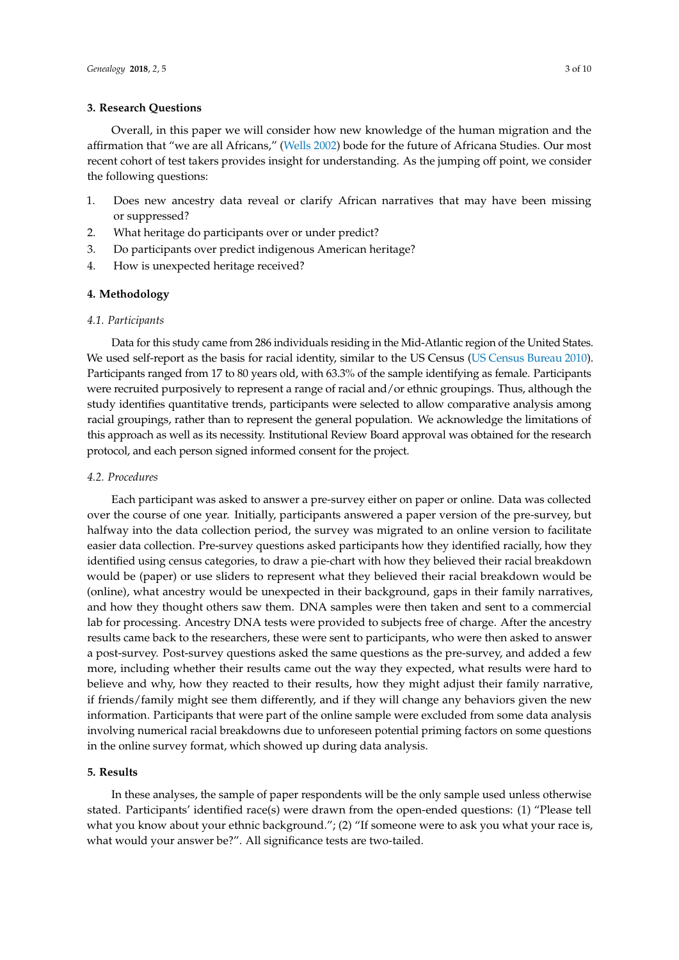## **3. Research Questions**

Overall, in this paper we will consider how new knowledge of the human migration and the affirmation that "we are all Africans," [\(Wells](#page-9-4) [2002\)](#page-9-4) bode for the future of Africana Studies. Our most recent cohort of test takers provides insight for understanding. As the jumping off point, we consider the following questions:

- 1. Does new ancestry data reveal or clarify African narratives that may have been missing or suppressed?
- 2. What heritage do participants over or under predict?
- 3. Do participants over predict indigenous American heritage?
- 4. How is unexpected heritage received?

# **4. Methodology**

#### *4.1. Participants*

Data for this study came from 286 individuals residing in the Mid-Atlantic region of the United States. We used self-report as the basis for racial identity, similar to the US Census [\(US Census Bureau](#page-9-5) [2010\)](#page-9-5). Participants ranged from 17 to 80 years old, with 63.3% of the sample identifying as female. Participants were recruited purposively to represent a range of racial and/or ethnic groupings. Thus, although the study identifies quantitative trends, participants were selected to allow comparative analysis among racial groupings, rather than to represent the general population. We acknowledge the limitations of this approach as well as its necessity. Institutional Review Board approval was obtained for the research protocol, and each person signed informed consent for the project.

#### *4.2. Procedures*

Each participant was asked to answer a pre-survey either on paper or online. Data was collected over the course of one year. Initially, participants answered a paper version of the pre-survey, but halfway into the data collection period, the survey was migrated to an online version to facilitate easier data collection. Pre-survey questions asked participants how they identified racially, how they identified using census categories, to draw a pie-chart with how they believed their racial breakdown would be (paper) or use sliders to represent what they believed their racial breakdown would be (online), what ancestry would be unexpected in their background, gaps in their family narratives, and how they thought others saw them. DNA samples were then taken and sent to a commercial lab for processing. Ancestry DNA tests were provided to subjects free of charge. After the ancestry results came back to the researchers, these were sent to participants, who were then asked to answer a post-survey. Post-survey questions asked the same questions as the pre-survey, and added a few more, including whether their results came out the way they expected, what results were hard to believe and why, how they reacted to their results, how they might adjust their family narrative, if friends/family might see them differently, and if they will change any behaviors given the new information. Participants that were part of the online sample were excluded from some data analysis involving numerical racial breakdowns due to unforeseen potential priming factors on some questions in the online survey format, which showed up during data analysis.

# **5. Results**

In these analyses, the sample of paper respondents will be the only sample used unless otherwise stated. Participants' identified race(s) were drawn from the open-ended questions: (1) "Please tell what you know about your ethnic background."; (2) "If someone were to ask you what your race is, what would your answer be?". All significance tests are two-tailed.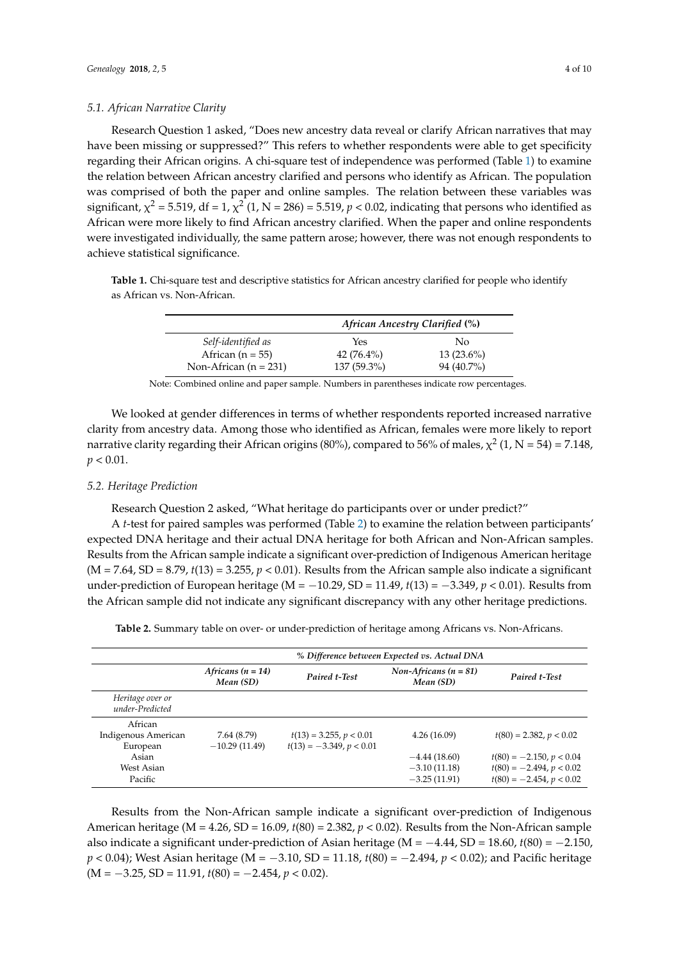# *5.1. African Narrative Clarity*

Research Question 1 asked, "Does new ancestry data reveal or clarify African narratives that may have been missing or suppressed?" This refers to whether respondents were able to get specificity regarding their African origins. A chi-square test of independence was performed (Table [1\)](#page-3-0) to examine the relation between African ancestry clarified and persons who identify as African. The population was comprised of both the paper and online samples. The relation between these variables was significant,  $\chi^2$  = 5.519, df = 1,  $\chi^2$  (1, N = 286) = 5.519, p < 0.02, indicating that persons who identified as African were more likely to find African ancestry clarified. When the paper and online respondents were investigated individually, the same pattern arose; however, there was not enough respondents to achieve statistical significance.

<span id="page-3-0"></span>**Table 1.** Chi-square test and descriptive statistics for African ancestry clarified for people who identify as African vs. Non-African.

|                         | African Ancestry Clarified (%) |              |  |
|-------------------------|--------------------------------|--------------|--|
| Self-identified as      | Yes                            | No           |  |
| African $(n = 55)$      | 42 $(76.4\%)$                  | $13(23.6\%)$ |  |
| Non-African $(n = 231)$ | 137 (59.3%)                    | 94 (40.7%)   |  |

Note: Combined online and paper sample. Numbers in parentheses indicate row percentages.

We looked at gender differences in terms of whether respondents reported increased narrative clarity from ancestry data. Among those who identified as African, females were more likely to report narrative clarity regarding their African origins (80%), compared to 56% of males,  $\chi^2$  (1, N = 54) = 7.148,  $p < 0.01$ .

# *5.2. Heritage Prediction*

Research Question 2 asked, "What heritage do participants over or under predict?"

A *t*-test for paired samples was performed (Table [2\)](#page-3-1) to examine the relation between participants' expected DNA heritage and their actual DNA heritage for both African and Non-African samples. Results from the African sample indicate a significant over-prediction of Indigenous American heritage  $(M = 7.64, SD = 8.79, t(13) = 3.255, p < 0.01$ . Results from the African sample also indicate a significant under-prediction of European heritage (M = −10.29, SD = 11.49, *t*(13) = −3.349, *p* < 0.01). Results from the African sample did not indicate any significant discrepancy with any other heritage predictions.

<span id="page-3-1"></span>Table 2. Summary table on over- or under-prediction of heritage among Africans vs. Non-Africans.

|                                            | % Difference between Expected vs. Actual DNA |                                                         |                                                    |                                                                                        |
|--------------------------------------------|----------------------------------------------|---------------------------------------------------------|----------------------------------------------------|----------------------------------------------------------------------------------------|
|                                            | Africans $(n = 14)$<br>Mean (SD)             | <b>Paired t-Test</b>                                    | Non-Africans $(n = 81)$<br>Mean (SD)               | <b>Paired t-Test</b>                                                                   |
| Heritage over or<br>under-Predicted        |                                              |                                                         |                                                    |                                                                                        |
| African<br>Indigenous American<br>European | 7.64 (8.79)<br>$-10.29(11.49)$               | $t(13) = 3.255, p < 0.01$<br>$t(13) = -3.349, p < 0.01$ | 4.26(16.09)                                        | $t(80) = 2.382, p < 0.02$                                                              |
| Asian<br>West Asian<br>Pacific             |                                              |                                                         | $-4.44(18.60)$<br>$-3.10(11.18)$<br>$-3.25(11.91)$ | $t(80) = -2.150, p < 0.04$<br>$t(80) = -2.494, p < 0.02$<br>$t(80) = -2.454, p < 0.02$ |

Results from the Non-African sample indicate a significant over-prediction of Indigenous American heritage (M = 4.26, SD = 16.09, *t*(80) = 2.382, *p* < 0.02). Results from the Non-African sample also indicate a significant under-prediction of Asian heritage (M = −4.44, SD = 18.60, *t*(80) = −2.150, *p* < 0.04); West Asian heritage (M = −3.10, SD = 11.18, *t*(80) = −2.494, *p* < 0.02); and Pacific heritage (M = −3.25, SD = 11.91, *t*(80) = −2.454, *p* < 0.02).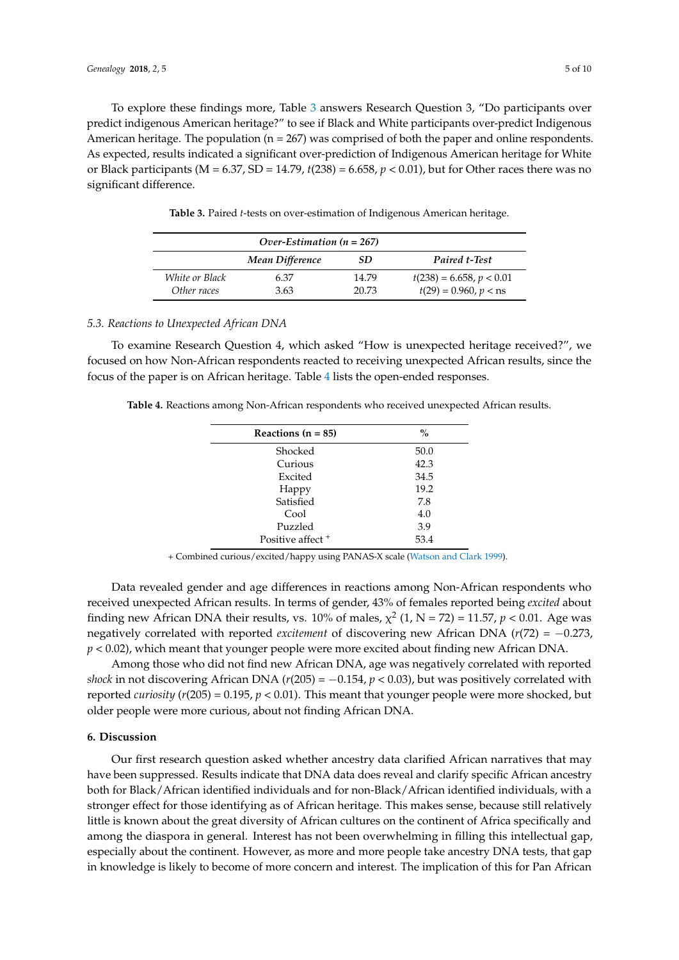To explore these findings more, Table [3](#page-4-0) answers Research Question 3, "Do participants over predict indigenous American heritage?" to see if Black and White participants over-predict Indigenous American heritage. The population  $(n = 267)$  was comprised of both the paper and online respondents. As expected, results indicated a significant over-prediction of Indigenous American heritage for White or Black participants (M = 6.37, SD = 14.79, *t*(238) = 6.658, *p* < 0.01), but for Other races there was no significant difference.

<span id="page-4-0"></span>

| Over-Estimation $(n = 267)$ |                 |       |                            |  |
|-----------------------------|-----------------|-------|----------------------------|--|
|                             | Mean Difference | SD.   | <b>Paired t-Test</b>       |  |
| White or Black              | 6.37            | 14.79 | $t(238) = 6.658, p < 0.01$ |  |
| Other races                 | 3.63            | 20.73 | $t(29) = 0.960, p <$ ns    |  |

**Table 3.** Paired *t*-tests on over-estimation of Indigenous American heritage.

#### *5.3. Reactions to Unexpected African DNA*

To examine Research Question 4, which asked "How is unexpected heritage received?", we focused on how Non-African respondents reacted to receiving unexpected African results, since the focus of the paper is on African heritage. Table [4](#page-4-1) lists the open-ended responses.

<span id="page-4-1"></span>**Table 4.** Reactions among Non-African respondents who received unexpected African results.

| Reactions $(n = 85)$         | $\frac{0}{0}$ |
|------------------------------|---------------|
| Shocked                      | 50.0          |
| Curious                      | 42.3          |
| Excited                      | 34.5          |
| Happy                        | 19.2          |
| Satisfied                    | 7.8           |
| Cool                         | 4.0           |
| Puzzled                      | 3.9           |
| Positive affect <sup>+</sup> | 53.4          |
|                              |               |

+ Combined curious/excited/happy using PANAS-X scale [\(Watson and Clark](#page-9-6) [1999\)](#page-9-6).

Data revealed gender and age differences in reactions among Non-African respondents who received unexpected African results. In terms of gender, 43% of females reported being *excited* about finding new African DNA their results, vs. 10% of males,  $\chi^2$  (1, N = 72) = 11.57, p < 0.01. Age was negatively correlated with reported *excitement* of discovering new African DNA (*r*(72) = −0.273, *p* < 0.02), which meant that younger people were more excited about finding new African DNA.

Among those who did not find new African DNA, age was negatively correlated with reported *shock* in not discovering African DNA ( $r(205) = -0.154$ ,  $p < 0.03$ ), but was positively correlated with reported *curiosity* (*r*(205) = 0.195, *p* < 0.01). This meant that younger people were more shocked, but older people were more curious, about not finding African DNA.

## **6. Discussion**

Our first research question asked whether ancestry data clarified African narratives that may have been suppressed. Results indicate that DNA data does reveal and clarify specific African ancestry both for Black/African identified individuals and for non-Black/African identified individuals, with a stronger effect for those identifying as of African heritage. This makes sense, because still relatively little is known about the great diversity of African cultures on the continent of Africa specifically and among the diaspora in general. Interest has not been overwhelming in filling this intellectual gap, especially about the continent. However, as more and more people take ancestry DNA tests, that gap in knowledge is likely to become of more concern and interest. The implication of this for Pan African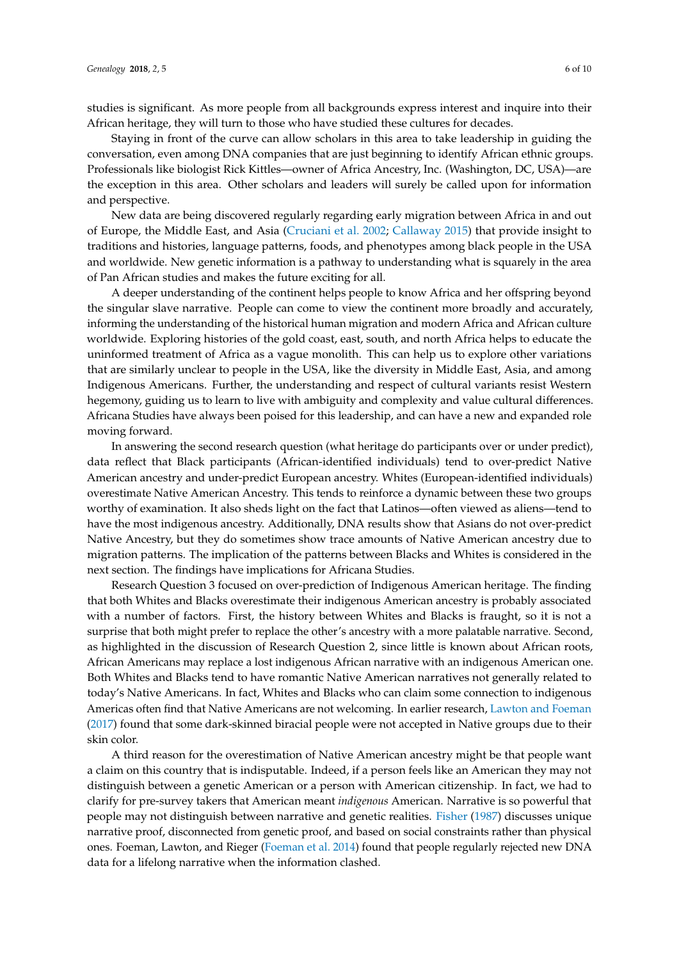studies is significant. As more people from all backgrounds express interest and inquire into their African heritage, they will turn to those who have studied these cultures for decades.

Staying in front of the curve can allow scholars in this area to take leadership in guiding the conversation, even among DNA companies that are just beginning to identify African ethnic groups. Professionals like biologist Rick Kittles—owner of Africa Ancestry, Inc. (Washington, DC, USA)—are the exception in this area. Other scholars and leaders will surely be called upon for information and perspective.

New data are being discovered regularly regarding early migration between Africa in and out of Europe, the Middle East, and Asia [\(Cruciani et al.](#page-8-16) [2002;](#page-8-16) [Callaway](#page-8-17) [2015\)](#page-8-17) that provide insight to traditions and histories, language patterns, foods, and phenotypes among black people in the USA and worldwide. New genetic information is a pathway to understanding what is squarely in the area of Pan African studies and makes the future exciting for all.

A deeper understanding of the continent helps people to know Africa and her offspring beyond the singular slave narrative. People can come to view the continent more broadly and accurately, informing the understanding of the historical human migration and modern Africa and African culture worldwide. Exploring histories of the gold coast, east, south, and north Africa helps to educate the uninformed treatment of Africa as a vague monolith. This can help us to explore other variations that are similarly unclear to people in the USA, like the diversity in Middle East, Asia, and among Indigenous Americans. Further, the understanding and respect of cultural variants resist Western hegemony, guiding us to learn to live with ambiguity and complexity and value cultural differences. Africana Studies have always been poised for this leadership, and can have a new and expanded role moving forward.

In answering the second research question (what heritage do participants over or under predict), data reflect that Black participants (African-identified individuals) tend to over-predict Native American ancestry and under-predict European ancestry. Whites (European-identified individuals) overestimate Native American Ancestry. This tends to reinforce a dynamic between these two groups worthy of examination. It also sheds light on the fact that Latinos—often viewed as aliens—tend to have the most indigenous ancestry. Additionally, DNA results show that Asians do not over-predict Native Ancestry, but they do sometimes show trace amounts of Native American ancestry due to migration patterns. The implication of the patterns between Blacks and Whites is considered in the next section. The findings have implications for Africana Studies.

Research Question 3 focused on over-prediction of Indigenous American heritage. The finding that both Whites and Blacks overestimate their indigenous American ancestry is probably associated with a number of factors. First, the history between Whites and Blacks is fraught, so it is not a surprise that both might prefer to replace the other's ancestry with a more palatable narrative. Second, as highlighted in the discussion of Research Question 2, since little is known about African roots, African Americans may replace a lost indigenous African narrative with an indigenous American one. Both Whites and Blacks tend to have romantic Native American narratives not generally related to today's Native Americans. In fact, Whites and Blacks who can claim some connection to indigenous Americas often find that Native Americans are not welcoming. In earlier research, [Lawton and Foeman](#page-8-4) [\(2017\)](#page-8-4) found that some dark-skinned biracial people were not accepted in Native groups due to their skin color.

A third reason for the overestimation of Native American ancestry might be that people want a claim on this country that is indisputable. Indeed, if a person feels like an American they may not distinguish between a genetic American or a person with American citizenship. In fact, we had to clarify for pre-survey takers that American meant *indigenous* American. Narrative is so powerful that people may not distinguish between narrative and genetic realities. [Fisher](#page-8-18) [\(1987\)](#page-8-18) discusses unique narrative proof, disconnected from genetic proof, and based on social constraints rather than physical ones. Foeman, Lawton, and Rieger [\(Foeman et al.](#page-8-3) [2014\)](#page-8-3) found that people regularly rejected new DNA data for a lifelong narrative when the information clashed.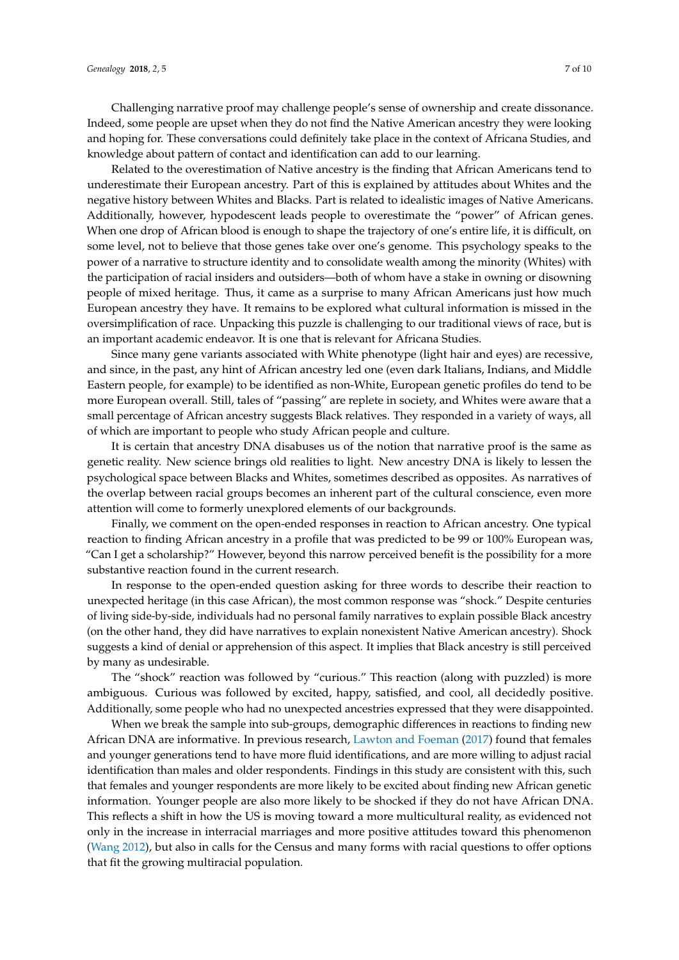Challenging narrative proof may challenge people's sense of ownership and create dissonance. Indeed, some people are upset when they do not find the Native American ancestry they were looking and hoping for. These conversations could definitely take place in the context of Africana Studies, and knowledge about pattern of contact and identification can add to our learning.

Related to the overestimation of Native ancestry is the finding that African Americans tend to underestimate their European ancestry. Part of this is explained by attitudes about Whites and the negative history between Whites and Blacks. Part is related to idealistic images of Native Americans. Additionally, however, hypodescent leads people to overestimate the "power" of African genes. When one drop of African blood is enough to shape the trajectory of one's entire life, it is difficult, on some level, not to believe that those genes take over one's genome. This psychology speaks to the power of a narrative to structure identity and to consolidate wealth among the minority (Whites) with the participation of racial insiders and outsiders—both of whom have a stake in owning or disowning people of mixed heritage. Thus, it came as a surprise to many African Americans just how much European ancestry they have. It remains to be explored what cultural information is missed in the oversimplification of race. Unpacking this puzzle is challenging to our traditional views of race, but is an important academic endeavor. It is one that is relevant for Africana Studies.

Since many gene variants associated with White phenotype (light hair and eyes) are recessive, and since, in the past, any hint of African ancestry led one (even dark Italians, Indians, and Middle Eastern people, for example) to be identified as non-White, European genetic profiles do tend to be more European overall. Still, tales of "passing" are replete in society, and Whites were aware that a small percentage of African ancestry suggests Black relatives. They responded in a variety of ways, all of which are important to people who study African people and culture.

It is certain that ancestry DNA disabuses us of the notion that narrative proof is the same as genetic reality. New science brings old realities to light. New ancestry DNA is likely to lessen the psychological space between Blacks and Whites, sometimes described as opposites. As narratives of the overlap between racial groups becomes an inherent part of the cultural conscience, even more attention will come to formerly unexplored elements of our backgrounds.

Finally, we comment on the open-ended responses in reaction to African ancestry. One typical reaction to finding African ancestry in a profile that was predicted to be 99 or 100% European was, "Can I get a scholarship?" However, beyond this narrow perceived benefit is the possibility for a more substantive reaction found in the current research.

In response to the open-ended question asking for three words to describe their reaction to unexpected heritage (in this case African), the most common response was "shock." Despite centuries of living side-by-side, individuals had no personal family narratives to explain possible Black ancestry (on the other hand, they did have narratives to explain nonexistent Native American ancestry). Shock suggests a kind of denial or apprehension of this aspect. It implies that Black ancestry is still perceived by many as undesirable.

The "shock" reaction was followed by "curious." This reaction (along with puzzled) is more ambiguous. Curious was followed by excited, happy, satisfied, and cool, all decidedly positive. Additionally, some people who had no unexpected ancestries expressed that they were disappointed.

When we break the sample into sub-groups, demographic differences in reactions to finding new African DNA are informative. In previous research, [Lawton and Foeman](#page-8-4) [\(2017\)](#page-8-4) found that females and younger generations tend to have more fluid identifications, and are more willing to adjust racial identification than males and older respondents. Findings in this study are consistent with this, such that females and younger respondents are more likely to be excited about finding new African genetic information. Younger people are also more likely to be shocked if they do not have African DNA. This reflects a shift in how the US is moving toward a more multicultural reality, as evidenced not only in the increase in interracial marriages and more positive attitudes toward this phenomenon [\(Wang](#page-9-7) [2012\)](#page-9-7), but also in calls for the Census and many forms with racial questions to offer options that fit the growing multiracial population.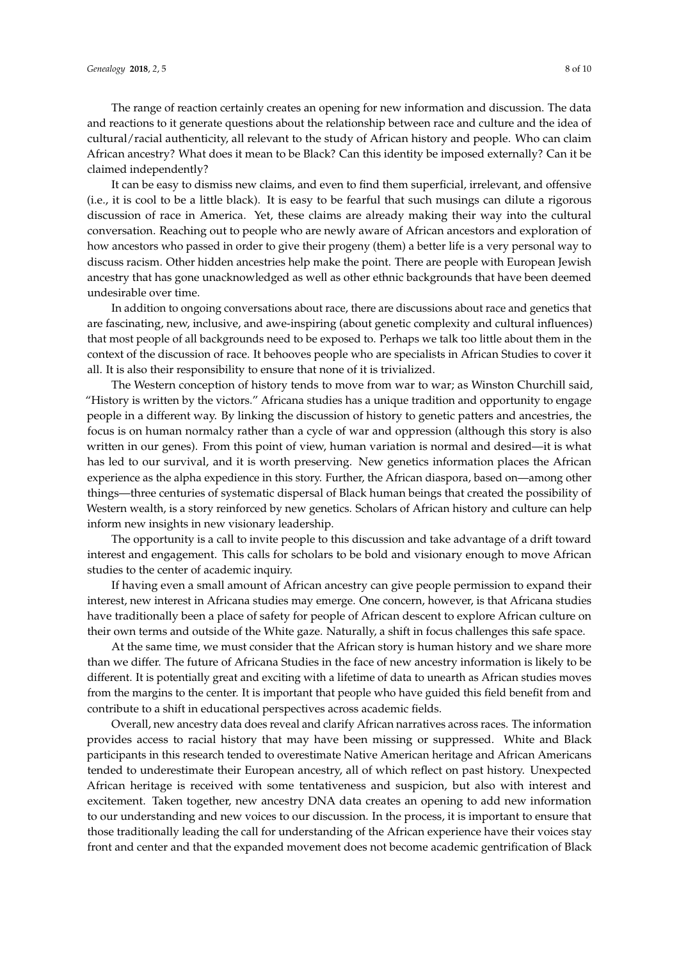The range of reaction certainly creates an opening for new information and discussion. The data and reactions to it generate questions about the relationship between race and culture and the idea of cultural/racial authenticity, all relevant to the study of African history and people. Who can claim African ancestry? What does it mean to be Black? Can this identity be imposed externally? Can it be claimed independently?

It can be easy to dismiss new claims, and even to find them superficial, irrelevant, and offensive (i.e., it is cool to be a little black). It is easy to be fearful that such musings can dilute a rigorous discussion of race in America. Yet, these claims are already making their way into the cultural conversation. Reaching out to people who are newly aware of African ancestors and exploration of how ancestors who passed in order to give their progeny (them) a better life is a very personal way to discuss racism. Other hidden ancestries help make the point. There are people with European Jewish ancestry that has gone unacknowledged as well as other ethnic backgrounds that have been deemed undesirable over time.

In addition to ongoing conversations about race, there are discussions about race and genetics that are fascinating, new, inclusive, and awe-inspiring (about genetic complexity and cultural influences) that most people of all backgrounds need to be exposed to. Perhaps we talk too little about them in the context of the discussion of race. It behooves people who are specialists in African Studies to cover it all. It is also their responsibility to ensure that none of it is trivialized.

The Western conception of history tends to move from war to war; as Winston Churchill said, "History is written by the victors." Africana studies has a unique tradition and opportunity to engage people in a different way. By linking the discussion of history to genetic patters and ancestries, the focus is on human normalcy rather than a cycle of war and oppression (although this story is also written in our genes). From this point of view, human variation is normal and desired—it is what has led to our survival, and it is worth preserving. New genetics information places the African experience as the alpha expedience in this story. Further, the African diaspora, based on—among other things—three centuries of systematic dispersal of Black human beings that created the possibility of Western wealth, is a story reinforced by new genetics. Scholars of African history and culture can help inform new insights in new visionary leadership.

The opportunity is a call to invite people to this discussion and take advantage of a drift toward interest and engagement. This calls for scholars to be bold and visionary enough to move African studies to the center of academic inquiry.

If having even a small amount of African ancestry can give people permission to expand their interest, new interest in Africana studies may emerge. One concern, however, is that Africana studies have traditionally been a place of safety for people of African descent to explore African culture on their own terms and outside of the White gaze. Naturally, a shift in focus challenges this safe space.

At the same time, we must consider that the African story is human history and we share more than we differ. The future of Africana Studies in the face of new ancestry information is likely to be different. It is potentially great and exciting with a lifetime of data to unearth as African studies moves from the margins to the center. It is important that people who have guided this field benefit from and contribute to a shift in educational perspectives across academic fields.

Overall, new ancestry data does reveal and clarify African narratives across races. The information provides access to racial history that may have been missing or suppressed. White and Black participants in this research tended to overestimate Native American heritage and African Americans tended to underestimate their European ancestry, all of which reflect on past history. Unexpected African heritage is received with some tentativeness and suspicion, but also with interest and excitement. Taken together, new ancestry DNA data creates an opening to add new information to our understanding and new voices to our discussion. In the process, it is important to ensure that those traditionally leading the call for understanding of the African experience have their voices stay front and center and that the expanded movement does not become academic gentrification of Black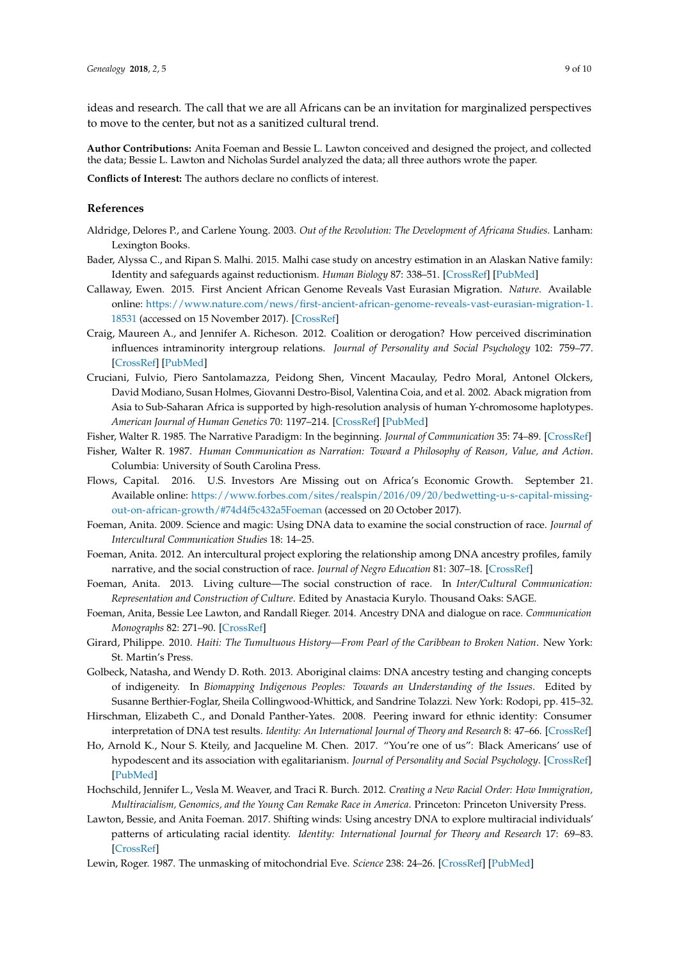ideas and research. The call that we are all Africans can be an invitation for marginalized perspectives to move to the center, but not as a sanitized cultural trend.

**Author Contributions:** Anita Foeman and Bessie L. Lawton conceived and designed the project, and collected the data; Bessie L. Lawton and Nicholas Surdel analyzed the data; all three authors wrote the paper.

**Conflicts of Interest:** The authors declare no conflicts of interest.

# **References**

- <span id="page-8-12"></span>Aldridge, Delores P., and Carlene Young. 2003. *Out of the Revolution: The Development of Africana Studies*. Lanham: Lexington Books.
- <span id="page-8-9"></span>Bader, Alyssa C., and Ripan S. Malhi. 2015. Malhi case study on ancestry estimation in an Alaskan Native family: Identity and safeguards against reductionism. *Human Biology* 87: 338–51. [\[CrossRef\]](http://dx.doi.org/10.13110/humanbiology.87.4.0338) [\[PubMed\]](http://www.ncbi.nlm.nih.gov/pubmed/27737591)
- <span id="page-8-17"></span>Callaway, Ewen. 2015. First Ancient African Genome Reveals Vast Eurasian Migration. *Nature*. Available online: [https://www.nature.com/news/first-ancient-african-genome-reveals-vast-eurasian-migration-1.](https://www.nature.com/news/first-ancient-african-genome-reveals-vast-eurasian-migration-1.18531) [18531](https://www.nature.com/news/first-ancient-african-genome-reveals-vast-eurasian-migration-1.18531) (accessed on 15 November 2017). [\[CrossRef\]](http://dx.doi.org/10.1038/nature.2015.18531)
- <span id="page-8-6"></span>Craig, Maureen A., and Jennifer A. Richeson. 2012. Coalition or derogation? How perceived discrimination influences intraminority intergroup relations. *Journal of Personality and Social Psychology* 102: 759–77. [\[CrossRef\]](http://dx.doi.org/10.1037/a0026481) [\[PubMed\]](http://www.ncbi.nlm.nih.gov/pubmed/22141393)
- <span id="page-8-16"></span>Cruciani, Fulvio, Piero Santolamazza, Peidong Shen, Vincent Macaulay, Pedro Moral, Antonel Olckers, David Modiano, Susan Holmes, Giovanni Destro-Bisol, Valentina Coia, and et al. 2002. Aback migration from Asia to Sub-Saharan Africa is supported by high-resolution analysis of human Y-chromosome haplotypes. *American Journal of Human Genetics* 70: 1197–214. [\[CrossRef\]](http://dx.doi.org/10.1086/340257) [\[PubMed\]](http://www.ncbi.nlm.nih.gov/pubmed/11910562)
- <span id="page-8-10"></span>Fisher, Walter R. 1985. The Narrative Paradigm: In the beginning. *Journal of Communication* 35: 74–89. [\[CrossRef\]](http://dx.doi.org/10.1111/j.1460-2466.1985.tb02974.x)
- <span id="page-8-18"></span>Fisher, Walter R. 1987. *Human Communication as Narration: Toward a Philosophy of Reason, Value, and Action*. Columbia: University of South Carolina Press.
- <span id="page-8-14"></span>Flows, Capital. 2016. U.S. Investors Are Missing out on Africa's Economic Growth. September 21. Available online: [https://www.forbes.com/sites/realspin/2016/09/20/bedwetting-u-s-capital-missing](https://www.forbes.com/sites/realspin/2016/09/20/bedwetting-u-s-capital-missing-out-on-african-growth/#74d4f5c432a5Foeman)[out-on-african-growth/#74d4f5c432a5Foeman](https://www.forbes.com/sites/realspin/2016/09/20/bedwetting-u-s-capital-missing-out-on-african-growth/#74d4f5c432a5Foeman) (accessed on 20 October 2017).
- <span id="page-8-0"></span>Foeman, Anita. 2009. Science and magic: Using DNA data to examine the social construction of race. *Journal of Intercultural Communication Studies* 18: 14–25.
- <span id="page-8-1"></span>Foeman, Anita. 2012. An intercultural project exploring the relationship among DNA ancestry profiles, family narrative, and the social construction of race. *Journal of Negro Education* 81: 307–18. [\[CrossRef\]](http://dx.doi.org/10.7709/jnegroeducation.81.4.0307)
- <span id="page-8-2"></span>Foeman, Anita. 2013. Living culture—The social construction of race. In *Inter/Cultural Communication: Representation and Construction of Culture*. Edited by Anastacia Kurylo. Thousand Oaks: SAGE.
- <span id="page-8-3"></span>Foeman, Anita, Bessie Lee Lawton, and Randall Rieger. 2014. Ancestry DNA and dialogue on race. *Communication Monographs* 82: 271–90. [\[CrossRef\]](http://dx.doi.org/10.1080/03637751.2014.972966)
- <span id="page-8-7"></span>Girard, Philippe. 2010. *Haiti: The Tumultuous History—From Pearl of the Caribbean to Broken Nation*. New York: St. Martin's Press.
- <span id="page-8-8"></span>Golbeck, Natasha, and Wendy D. Roth. 2013. Aboriginal claims: DNA ancestry testing and changing concepts of indigeneity. In *Biomapping Indigenous Peoples: Towards an Understanding of the Issues*. Edited by Susanne Berthier-Foglar, Sheila Collingwood-Whittick, and Sandrine Tolazzi. New York: Rodopi, pp. 415–32.
- <span id="page-8-15"></span>Hirschman, Elizabeth C., and Donald Panther-Yates. 2008. Peering inward for ethnic identity: Consumer interpretation of DNA test results. *Identity: An International Journal of Theory and Research* 8: 47–66. [\[CrossRef\]](http://dx.doi.org/10.1080/15283480701787368)
- <span id="page-8-5"></span>Ho, Arnold K., Nour S. Kteily, and Jacqueline M. Chen. 2017. "You're one of us": Black Americans' use of hypodescent and its association with egalitarianism. *Journal of Personality and Social Psychology*. [\[CrossRef\]](http://dx.doi.org/10.1037/pspi0000107) [\[PubMed\]](http://www.ncbi.nlm.nih.gov/pubmed/28639795)
- <span id="page-8-11"></span>Hochschild, Jennifer L., Vesla M. Weaver, and Traci R. Burch. 2012. *Creating a New Racial Order: How Immigration, Multiracialism, Genomics, and the Young Can Remake Race in America*. Princeton: Princeton University Press.
- <span id="page-8-4"></span>Lawton, Bessie, and Anita Foeman. 2017. Shifting winds: Using ancestry DNA to explore multiracial individuals' patterns of articulating racial identity. *Identity: International Journal for Theory and Research* 17: 69–83. [\[CrossRef\]](http://dx.doi.org/10.1080/15283488.2017.1303383)
- <span id="page-8-13"></span>Lewin, Roger. 1987. The unmasking of mitochondrial Eve. *Science* 238: 24–26. [\[CrossRef\]](http://dx.doi.org/10.1126/science.3116666) [\[PubMed\]](http://www.ncbi.nlm.nih.gov/pubmed/3116666)